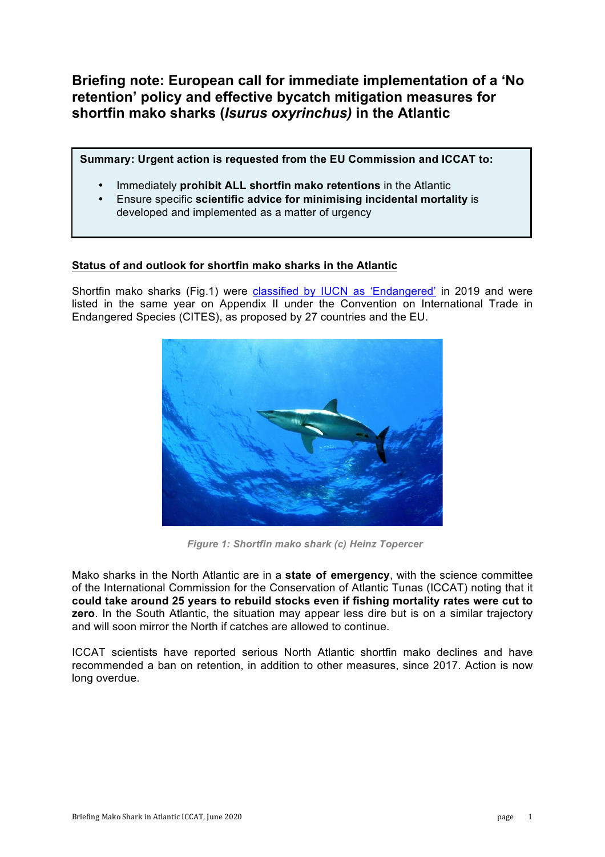**Briefing note: European call for immediate implementation of a 'No retention' policy and effective bycatch mitigation measures for shortfin mako sharks (***Isurus oxyrinchus)* **in the Atlantic**

**Summary: Urgent action is requested from the EU Commission and ICCAT to:**

- Immediately **prohibit ALL shortfin mako retentions** in the Atlantic
- Ensure specific **scientific advice for minimising incidental mortality** is developed and implemented as a matter of urgency

# **Status of and outlook for shortfin mako sharks in the Atlantic**

Shortfin mako sharks (Fig.1) were classified by IUCN as 'Endangered' in 2019 and were listed in the same year on Appendix II under the Convention on International Trade in Endangered Species (CITES), as proposed by 27 countries and the EU.



*Figure 1: Shortfin mako shark (c) Heinz Topercer*

Mako sharks in the North Atlantic are in a **state of emergency**, with the science committee of the International Commission for the Conservation of Atlantic Tunas (ICCAT) noting that it **could take around 25 years to rebuild stocks even if fishing mortality rates were cut to zero**. In the South Atlantic, the situation may appear less dire but is on a similar trajectory and will soon mirror the North if catches are allowed to continue.

ICCAT scientists have reported serious North Atlantic shortfin mako declines and have recommended a ban on retention, in addition to other measures, since 2017. Action is now long overdue.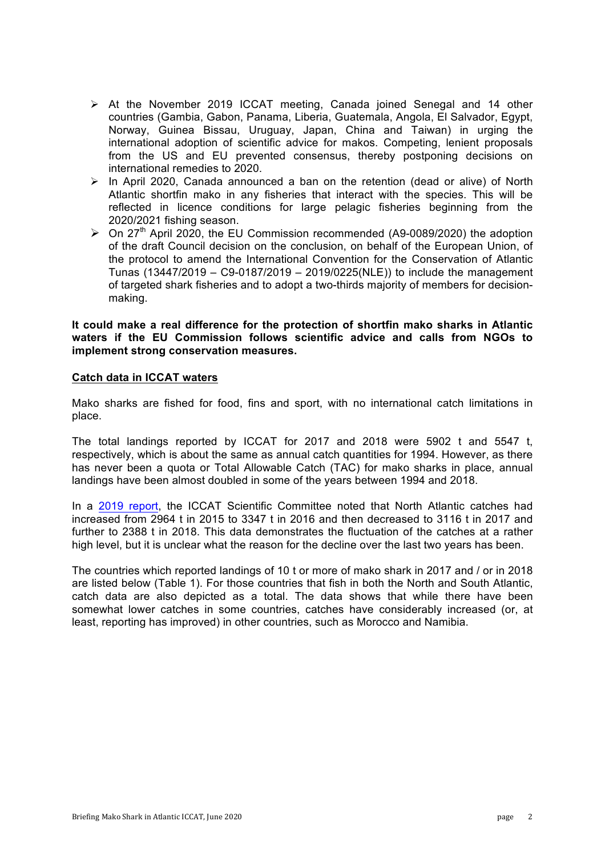- $\triangleright$  At the November 2019 ICCAT meeting, Canada joined Senegal and 14 other countries (Gambia, Gabon, Panama, Liberia, Guatemala, Angola, El Salvador, Egypt, Norway, Guinea Bissau, Uruguay, Japan, China and Taiwan) in urging the international adoption of scientific advice for makos. Competing, lenient proposals from the US and EU prevented consensus, thereby postponing decisions on international remedies to 2020.
- $\triangleright$  In April 2020, Canada announced a ban on the retention (dead or alive) of North Atlantic shortfin mako in any fisheries that interact with the species. This will be reflected in licence conditions for large pelagic fisheries beginning from the 2020/2021 fishing season.
- $\triangleright$  On 27<sup>th</sup> April 2020, the EU Commission recommended (A9-0089/2020) the adoption of the draft Council decision on the conclusion, on behalf of the European Union, of the protocol to amend the International Convention for the Conservation of Atlantic Tunas (13447/2019 – C9-0187/2019 – 2019/0225(NLE)) to include the management of targeted shark fisheries and to adopt a two-thirds majority of members for decisionmaking.

### **It could make a real difference for the protection of shortfin mako sharks in Atlantic waters if the EU Commission follows scientific advice and calls from NGOs to implement strong conservation measures.**

### **Catch data in ICCAT waters**

Mako sharks are fished for food, fins and sport, with no international catch limitations in place.

The total landings reported by ICCAT for 2017 and 2018 were 5902 t and 5547 t, respectively, which is about the same as annual catch quantities for 1994. However, as there has never been a quota or Total Allowable Catch (TAC) for mako sharks in place, annual landings have been almost doubled in some of the years between 1994 and 2018.

In a 2019 report, the ICCAT Scientific Committee noted that North Atlantic catches had increased from 2964 t in 2015 to 3347 t in 2016 and then decreased to 3116 t in 2017 and further to 2388 t in 2018. This data demonstrates the fluctuation of the catches at a rather high level, but it is unclear what the reason for the decline over the last two years has been.

The countries which reported landings of 10 t or more of mako shark in 2017 and / or in 2018 are listed below (Table 1). For those countries that fish in both the North and South Atlantic, catch data are also depicted as a total. The data shows that while there have been somewhat lower catches in some countries, catches have considerably increased (or, at least, reporting has improved) in other countries, such as Morocco and Namibia.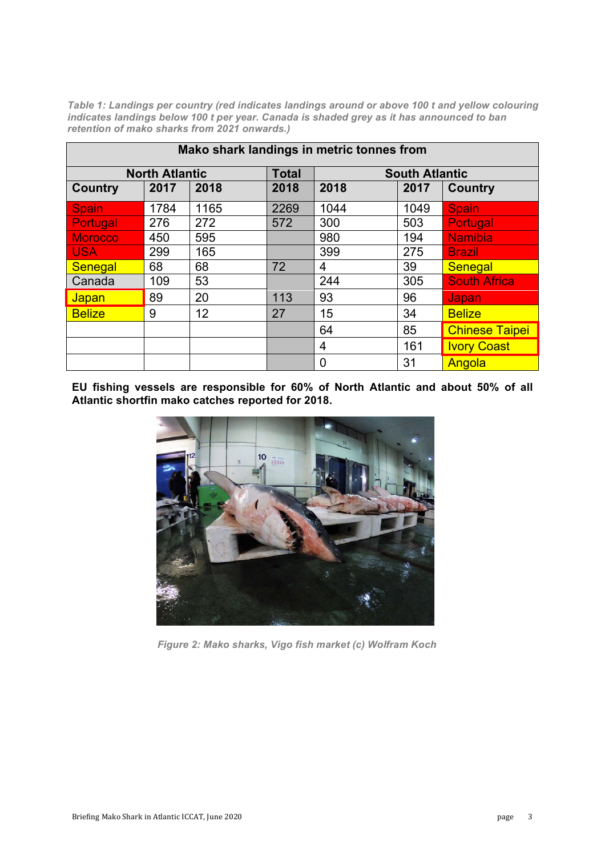*Table 1: Landings per country (red indicates landings around or above 100 t and yellow colouring indicates landings below 100 t per year. Canada is shaded grey as it has announced to ban retention of mako sharks from 2021 onwards.)*

| Mako shark landings in metric tonnes from |      |      |              |                       |      |                       |
|-------------------------------------------|------|------|--------------|-----------------------|------|-----------------------|
| <b>North Atlantic</b>                     |      |      | <b>Total</b> | <b>South Atlantic</b> |      |                       |
| <b>Country</b>                            | 2017 | 2018 | 2018         | 2018                  | 2017 | <b>Country</b>        |
| <b>Spain</b>                              | 1784 | 1165 | 2269         | 1044                  | 1049 | Spain                 |
| <b>Portugal</b>                           | 276  | 272  | 572          | 300                   | 503  | Portugal              |
| <b>Morocco</b>                            | 450  | 595  |              | 980                   | 194  | <b>Namibia</b>        |
| <b>USA</b>                                | 299  | 165  |              | 399                   | 275  | <b>Brazil</b>         |
| <b>Senegal</b>                            | 68   | 68   | 72           | 4                     | 39   | <b>Senegal</b>        |
| Canada                                    | 109  | 53   |              | 244                   | 305  | <b>South Africa</b>   |
| <b>Japan</b>                              | 89   | 20   | 113          | 93                    | 96   | Japan                 |
| <b>Belize</b>                             | 9    | 12   | 27           | 15                    | 34   | <b>Belize</b>         |
|                                           |      |      |              | 64                    | 85   | <b>Chinese Taipei</b> |
|                                           |      |      |              | 4                     | 161  | <b>Ivory Coast</b>    |
|                                           |      |      |              | 0                     | 31   | Angola                |

**EU fishing vessels are responsible for 60% of North Atlantic and about 50% of all Atlantic shortfin mako catches reported for 2018.**



*Figure 2: Mako sharks, Vigo fish market (c) Wolfram Koch*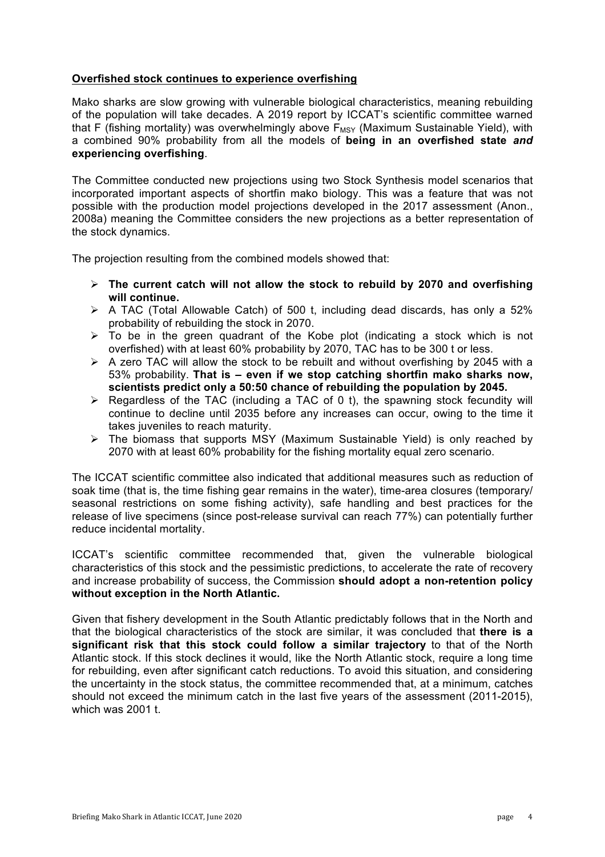## **Overfished stock continues to experience overfishing**

Mako sharks are slow growing with vulnerable biological characteristics, meaning rebuilding of the population will take decades. A 2019 report by ICCAT's scientific committee warned that F (fishing mortality) was overwhelmingly above  $F_{MSY}$  (Maximum Sustainable Yield), with a combined 90% probability from all the models of **being in an overfished state** *and* **experiencing overfishing**.

The Committee conducted new projections using two Stock Synthesis model scenarios that incorporated important aspects of shortfin mako biology. This was a feature that was not possible with the production model projections developed in the 2017 assessment (Anon., 2008a) meaning the Committee considers the new projections as a better representation of the stock dynamics.

The projection resulting from the combined models showed that:

- ! **The current catch will not allow the stock to rebuild by 2070 and overfishing will continue.**
- $\triangleright$  A TAC (Total Allowable Catch) of 500 t, including dead discards, has only a 52% probability of rebuilding the stock in 2070.
- $\triangleright$  To be in the green quadrant of the Kobe plot (indicating a stock which is not overfished) with at least 60% probability by 2070, TAC has to be 300 t or less.
- $\triangleright$  A zero TAC will allow the stock to be rebuilt and without overfishing by 2045 with a 53% probability. **That is – even if we stop catching shortfin mako sharks now, scientists predict only a 50:50 chance of rebuilding the population by 2045.**
- $\triangleright$  Regardless of the TAC (including a TAC of 0 t), the spawning stock fecundity will continue to decline until 2035 before any increases can occur, owing to the time it takes juveniles to reach maturity.
- $\triangleright$  The biomass that supports MSY (Maximum Sustainable Yield) is only reached by 2070 with at least 60% probability for the fishing mortality equal zero scenario.

The ICCAT scientific committee also indicated that additional measures such as reduction of soak time (that is, the time fishing gear remains in the water), time-area closures (temporary/ seasonal restrictions on some fishing activity), safe handling and best practices for the release of live specimens (since post-release survival can reach 77%) can potentially further reduce incidental mortality.

ICCAT's scientific committee recommended that, given the vulnerable biological characteristics of this stock and the pessimistic predictions, to accelerate the rate of recovery and increase probability of success, the Commission **should adopt a non-retention policy without exception in the North Atlantic.**

Given that fishery development in the South Atlantic predictably follows that in the North and that the biological characteristics of the stock are similar, it was concluded that **there is a significant risk that this stock could follow a similar trajectory** to that of the North Atlantic stock. If this stock declines it would, like the North Atlantic stock, require a long time for rebuilding, even after significant catch reductions. To avoid this situation, and considering the uncertainty in the stock status, the committee recommended that, at a minimum, catches should not exceed the minimum catch in the last five years of the assessment (2011-2015), which was 2001 t.